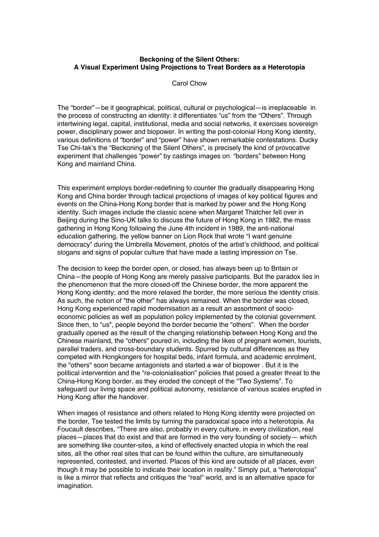## **Beckoning of the Silent Others: A Visual Experiment Using Projections to Treat Borders as a Heterotopia**

## Carol Chow

The "border"—be it geographical, political, cultural or psychological—is irreplaceable in the process of constructing an identity: it differentiates "us" from the "Others". Through intertwining legal, capital, institutional, media and social networks, it exercises sovereign power, disciplinary power and biopower. In writing the post-colonial Hong Kong identity, various definitions of "border" and "power" have shown remarkable contestations. Ducky Tse Chi-tak's the "Beckoning of the Silent Others", is precisely the kind of provocative experiment that challenges "power" by castings images on "borders" between Hong Kong and mainland China.

This experiment employs border-redefining to counter the gradually disappearing Hong Kong and China border through tactical projections of images of key political figures and events on the China-Hong Kong border that is marked by power and the Hong Kong identity. Such images include the classic scene when Margaret Thatcher fell over in Beijing during the Sino-UK talks to discuss the future of Hong Kong in 1982, the mass gathering in Hong Kong following the June 4th incident in 1989, the anti-national education gathering, the yellow banner on Lion Rock that wrote "I want genuine democracy" during the Umbrella Movement, photos of the artist's childhood, and political slogans and signs of popular culture that have made a lasting impression on Tse.

The decision to keep the border open, or closed, has always been up to Britain or China—the people of Hong Kong are merely passive participants. But the paradox lies in the phenomenon that the more closed-off the Chinese border, the more apparent the Hong Kong identity; and the more relaxed the border, the more serious the identity crisis. As such, the notion of "the other" has always remained. When the border was closed, Hong Kong experienced rapid modernisation as a result an assortment of socioeconomic policies as well as population policy implemented by the colonial government. Since then, to "us", people beyond the border became the "others". When the border gradually opened as the result of the changing relationship between Hong Kong and the Chinese mainland, the "others" poured in, including the likes of pregnant women, tourists, parallel traders, and cross-boundary students. Spurred by cultural differences as they competed with Hongkongers for hospital beds, infant formula, and academic enrolment, the "others" soon became antagonists and started a war of biopower . But it is the political intervention and the "re-colonialisation" policies that posed a greater threat to the China-Hong Kong border, as they eroded the concept of the "Two Systems". To safequard our living space and political autonomy, resistance of various scales erupted in Hong Kong after the handover.

When images of resistance and others related to Hong Kong identity were projected on the border, Tse tested the limits by turning the paradoxical space into a heterotopia. As Foucault describes, "There are also, probably in every culture, in every civilization, real places—places that do exist and that are formed in the very founding of society— which are something like counter-sites, a kind of effectively enacted utopia in which the real sites, all the other real sites that can be found within the culture, are simultaneously represented, contested, and inverted. Places of this kind are outside of all places, even though it may be possible to indicate their location in reality." Simply put, a "heterotopia" is like a mirror that reflects and critiques the "real" world, and is an alternative space for imagination.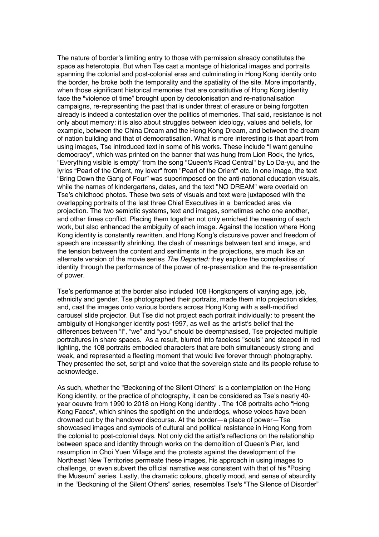The nature of border's limiting entry to those with permission already constitutes the space as heterotopia. But when Tse cast a montage of historical images and portraits spanning the colonial and post-colonial eras and culminating in Hong Kong identity onto the border, he broke both the temporality and the spatiality of the site. More importantly, when those significant historical memories that are constitutive of Hong Kong identity face the "violence of time" brought upon by decolonisation and re-nationalisation campaigns, re-representing the past that is under threat of erasure or being forgotten already is indeed a contestation over the politics of memories. That said, resistance is not only about memory: it is also about struggles between ideology, values and beliefs, for example, between the China Dream and the Hong Kong Dream, and between the dream of nation building and that of democratisation. What is more interesting is that apart from using images, Tse introduced text in some of his works. These include "I want genuine democracy", which was printed on the banner that was hung from Lion Rock, the lyrics, "Everything visible is empty" from the song "Queen's Road Central" by Lo Da-yu, and the lyrics "Pearl of the Orient, my lover" from "Pearl of the Orient" etc. In one image, the text "Bring Down the Gang of Four" was superimposed on the anti-national education visuals, while the names of kindergartens, dates, and the text "NO DREAM" were overlaid on Tse's childhood photos. These two sets of visuals and text were juxtaposed with the overlapping portraits of the last three Chief Executives in a barricaded area via projection. The two semiotic systems, text and images, sometimes echo one another, and other times conflict. Placing them together not only enriched the meaning of each work, but also enhanced the ambiguity of each image. Against the location where Hong Kong identity is constantly rewritten, and Hong Kong's discursive power and freedom of speech are incessantly shrinking, the clash of meanings between text and image, and the tension between the content and sentiments in the projections, are much like an alternate version of the movie series *The Departed:* they explore the complexities of identity through the performance of the power of re-presentation and the re-presentation of power.

Tse's performance at the border also included 108 Hongkongers of varying age, job, ethnicity and gender. Tse photographed their portraits, made them into projection slides, and, cast the images onto various borders across Hong Kong with a self-modified carousel slide projector. But Tse did not project each portrait individually: to present the ambiguity of Hongkonger identity post-1997, as well as the artist's belief that the differences between "I", "we" and "you" should be deemphasised, Tse projected multiple portraitures in share spaces. As a result, blurred into faceless "souls" and steeped in red lighting, the 108 portraits embodied characters that are both simultaneously strong and weak, and represented a fleeting moment that would live forever through photography. They presented the set, script and voice that the sovereign state and its people refuse to acknowledge.

As such, whether the "Beckoning of the Silent Others" is a contemplation on the Hong Kong identity, or the practice of photography, it can be considered as Tse's nearly 40 year oeuvre from 1990 to 2018 on Hong Kong identity . The 108 portraits echo "Hong Kong Faces", which shines the spotlight on the underdogs, whose voices have been drowned out by the handover discourse. At the border—a place of power—Tse showcased images and symbols of cultural and political resistance in Hong Kong from the colonial to post-colonial days. Not only did the artist's reflections on the relationship between space and identity through works on the demolition of Queen's Pier, land resumption in Choi Yuen Village and the protests against the development of the Northeast New Territories permeate these images, his approach in using images to challenge, or even subvert the official narrative was consistent with that of his "Posing the Museum" series. Lastly, the dramatic colours, ghostly mood, and sense of absurdity in the "Beckoning of the Silent Others" series, resembles Tse's "The Silence of Disorder"